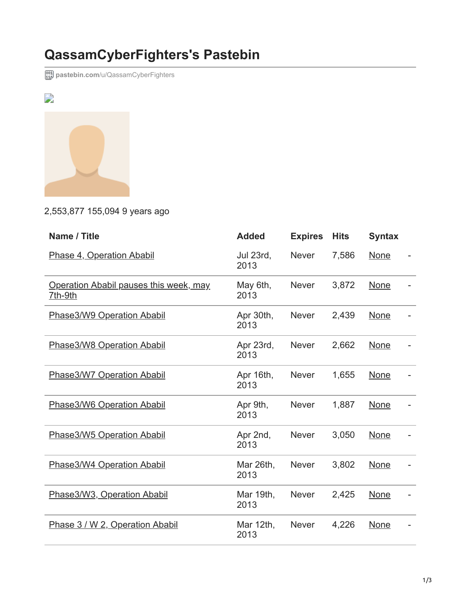## **QassamCyberFighters's Pastebin**

**postebin.com[/u/QassamCyberFighters](http://pastebin.com/u/QassamCyberFighters)** 



## 2,553,877 155,094 9 years ago

| Name / Title                                      | <b>Added</b>      | <b>Expires</b> | <b>Hits</b> | <b>Syntax</b> |  |
|---------------------------------------------------|-------------------|----------------|-------------|---------------|--|
| Phase 4, Operation Ababil                         | Jul 23rd,<br>2013 | <b>Never</b>   | 7,586       | None          |  |
| Operation Ababil pauses this week, may<br>7th-9th | May 6th,<br>2013  | <b>Never</b>   | 3,872       | None          |  |
| Phase3/W9 Operation Ababil                        | Apr 30th,<br>2013 | <b>Never</b>   | 2,439       | None          |  |
| Phase3/W8 Operation Ababil                        | Apr 23rd,<br>2013 | <b>Never</b>   | 2,662       | <b>None</b>   |  |
| Phase3/W7 Operation Ababil                        | Apr 16th,<br>2013 | <b>Never</b>   | 1,655       | <b>None</b>   |  |
| Phase3/W6 Operation Ababil                        | Apr 9th,<br>2013  | <b>Never</b>   | 1,887       | None          |  |
| Phase3/W5 Operation Ababil                        | Apr 2nd,<br>2013  | <b>Never</b>   | 3,050       | <b>None</b>   |  |
| Phase3/W4 Operation Ababil                        | Mar 26th,<br>2013 | <b>Never</b>   | 3,802       | None          |  |
| Phase3/W3, Operation Ababil                       | Mar 19th,<br>2013 | <b>Never</b>   | 2,425       | None          |  |
| Phase 3 / W 2, Operation Ababil                   | Mar 12th,<br>2013 | <b>Never</b>   | 4,226       | None          |  |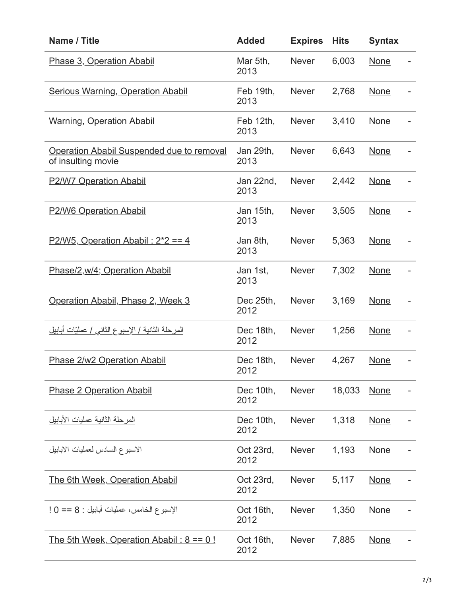| Name / Title                                                    | <b>Added</b>      | <b>Expires</b> | <b>Hits</b> | <b>Syntax</b> |  |
|-----------------------------------------------------------------|-------------------|----------------|-------------|---------------|--|
| Phase 3, Operation Ababil                                       | Mar 5th,<br>2013  | <b>Never</b>   | 6,003       | <b>None</b>   |  |
| <b>Serious Warning, Operation Ababil</b>                        | Feb 19th,<br>2013 | <b>Never</b>   | 2,768       | <b>None</b>   |  |
| <b>Warning, Operation Ababil</b>                                | Feb 12th,<br>2013 | <b>Never</b>   | 3,410       | <b>None</b>   |  |
| Operation Ababil Suspended due to removal<br>of insulting movie | Jan 29th,<br>2013 | <b>Never</b>   | 6,643       | <b>None</b>   |  |
| <b>P2/W7 Operation Ababil</b>                                   | Jan 22nd,<br>2013 | <b>Never</b>   | 2,442       | <b>None</b>   |  |
| <b>P2/W6 Operation Ababil</b>                                   | Jan 15th,<br>2013 | <b>Never</b>   | 3,505       | <b>None</b>   |  |
| P2/W5, Operation Ababil: $2^*2 == 4$                            | Jan 8th,<br>2013  | <b>Never</b>   | 5,363       | <b>None</b>   |  |
| Phase/2, w/4; Operation Ababil                                  | Jan 1st,<br>2013  | <b>Never</b>   | 7,302       | <b>None</b>   |  |
| Operation Ababil, Phase 2, Week 3                               | Dec 25th,<br>2012 | <b>Never</b>   | 3,169       | <b>None</b>   |  |
| <u>المرحلة الثانية / الإسبوع الثاني / عمليّات أبابيل</u>        | Dec 18th,<br>2012 | <b>Never</b>   | 1,256       | <b>None</b>   |  |
| Phase 2/w2 Operation Ababil                                     | Dec 18th,<br>2012 | <b>Never</b>   | 4,267       | <b>None</b>   |  |
| <b>Phase 2 Operation Ababil</b>                                 | Dec 10th,<br>2012 | <b>Never</b>   | 18,033      | <b>None</b>   |  |
| المرحلة الثانية عمليات الأبابيل                                 | Dec 10th,<br>2012 | <b>Never</b>   | 1,318       | <b>None</b>   |  |
| الاسبوع السادس لعمليات الابابيل                                 | Oct 23rd,<br>2012 | <b>Never</b>   | 1,193       | <b>None</b>   |  |
| The 6th Week, Operation Ababil                                  | Oct 23rd,<br>2012 | <b>Never</b>   | 5,117       | <b>None</b>   |  |
| الإسبوع الخامس، عمليات أبابيل : 8 == 0 !                        | Oct 16th,<br>2012 | <b>Never</b>   | 1,350       | <b>None</b>   |  |
| The 5th Week, Operation Ababil: $8 == 0!$                       | Oct 16th,<br>2012 | <b>Never</b>   | 7,885       | <b>None</b>   |  |